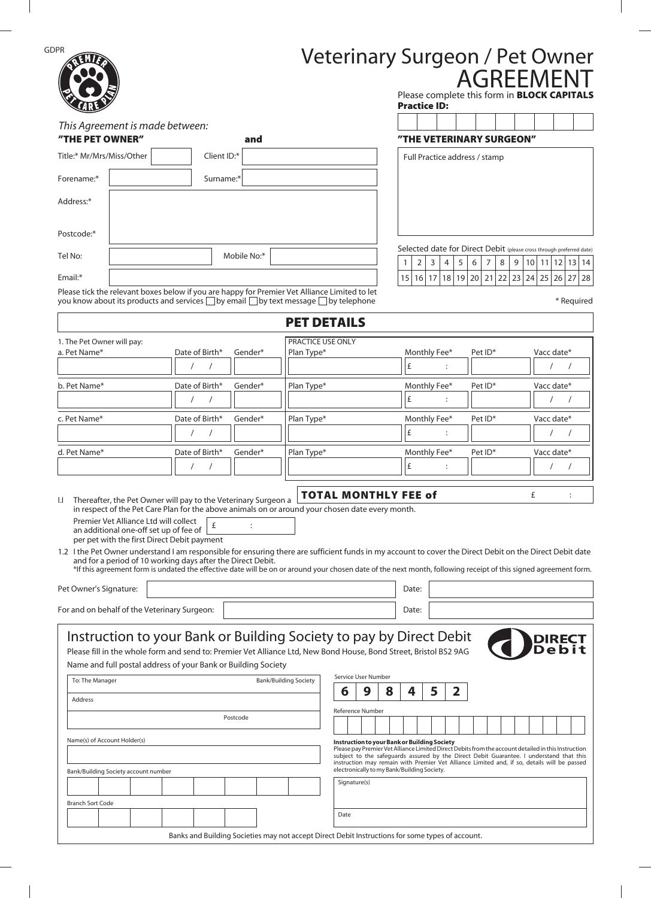|                                                                                                                                |                                                                                                                                                                                                                                        |                                   | Veterinary Surgeon / Pet Owner<br><b>AGREEMENT</b><br>Please complete this form in <b>BLOCK CAPITALS</b><br><b>Practice ID:</b>                                                                                                                                                                                                                                                                                                |
|--------------------------------------------------------------------------------------------------------------------------------|----------------------------------------------------------------------------------------------------------------------------------------------------------------------------------------------------------------------------------------|-----------------------------------|--------------------------------------------------------------------------------------------------------------------------------------------------------------------------------------------------------------------------------------------------------------------------------------------------------------------------------------------------------------------------------------------------------------------------------|
| This Agreement is made between:                                                                                                |                                                                                                                                                                                                                                        |                                   |                                                                                                                                                                                                                                                                                                                                                                                                                                |
| "THE PET OWNER"                                                                                                                | and                                                                                                                                                                                                                                    |                                   | "THE VETERINARY SURGEON"                                                                                                                                                                                                                                                                                                                                                                                                       |
| Title:* Mr/Mrs/Miss/Other                                                                                                      | Client ID:*                                                                                                                                                                                                                            |                                   | Full Practice address / stamp                                                                                                                                                                                                                                                                                                                                                                                                  |
| Forename:*                                                                                                                     | Surname:*                                                                                                                                                                                                                              |                                   |                                                                                                                                                                                                                                                                                                                                                                                                                                |
| Address:*                                                                                                                      |                                                                                                                                                                                                                                        |                                   |                                                                                                                                                                                                                                                                                                                                                                                                                                |
| Postcode:*                                                                                                                     |                                                                                                                                                                                                                                        |                                   |                                                                                                                                                                                                                                                                                                                                                                                                                                |
| Tel No:                                                                                                                        | Mobile No:*                                                                                                                                                                                                                            |                                   | Selected date for Direct Debit (please cross through preferred date)<br>8<br>$10$   11  12  13  14<br>3<br>7<br>9<br>2<br>4<br>5<br>6                                                                                                                                                                                                                                                                                          |
| Email:*                                                                                                                        |                                                                                                                                                                                                                                        |                                   | 21<br>22 23 <br>18<br><b>19</b><br>20<br>$24$   25   26   27<br>15<br>16 17<br>28                                                                                                                                                                                                                                                                                                                                              |
|                                                                                                                                | Please tick the relevant boxes below if you are happy for Premier Vet Alliance Limited to let<br>you know about its products and services □ by email □ by text message □ by telephone                                                  |                                   | * Required                                                                                                                                                                                                                                                                                                                                                                                                                     |
|                                                                                                                                |                                                                                                                                                                                                                                        | <b>PET DETAILS</b>                |                                                                                                                                                                                                                                                                                                                                                                                                                                |
| 1. The Pet Owner will pay:                                                                                                     |                                                                                                                                                                                                                                        | PRACTICE USE ONLY                 |                                                                                                                                                                                                                                                                                                                                                                                                                                |
| a. Pet Name*                                                                                                                   | Date of Birth*<br>Gender*                                                                                                                                                                                                              | Plan Type*                        | Monthly Fee*<br>Vacc date*<br>Pet ID*<br>£                                                                                                                                                                                                                                                                                                                                                                                     |
| b. Pet Name*                                                                                                                   | Date of Birth*<br>Gender*                                                                                                                                                                                                              | Plan Type*                        | Monthly Fee*<br>Vacc date*<br>Pet ID*                                                                                                                                                                                                                                                                                                                                                                                          |
|                                                                                                                                |                                                                                                                                                                                                                                        |                                   | £                                                                                                                                                                                                                                                                                                                                                                                                                              |
| c. Pet Name*                                                                                                                   | Date of Birth*<br>Gender*                                                                                                                                                                                                              | Plan Type*                        | Monthly Fee*<br>Pet ID*<br>Vacc date*                                                                                                                                                                                                                                                                                                                                                                                          |
|                                                                                                                                | $\sqrt{2}$                                                                                                                                                                                                                             |                                   | £<br>:                                                                                                                                                                                                                                                                                                                                                                                                                         |
| d. Pet Name*                                                                                                                   | Date of Birth*<br>Gender*                                                                                                                                                                                                              | Plan Type*                        | Monthly Fee*<br>Pet ID*<br>Vacc date*                                                                                                                                                                                                                                                                                                                                                                                          |
|                                                                                                                                | $\prime$                                                                                                                                                                                                                               |                                   | £<br>:                                                                                                                                                                                                                                                                                                                                                                                                                         |
|                                                                                                                                |                                                                                                                                                                                                                                        |                                   | £                                                                                                                                                                                                                                                                                                                                                                                                                              |
| Premier Vet Alliance Ltd will collect<br>an additional one-off set up of fee of<br>per pet with the first Direct Debit payment | Thereafter, the Pet Owner will pay to the Veterinary Surgeon a<br>in respect of the Pet Care Plan for the above animals on or around your chosen date every month.<br>£<br>and for a period of 10 working days after the Direct Debit. |                                   | <b>TOTAL MONTHLY FEE of</b><br>1.2 I the Pet Owner understand I am responsible for ensuring there are sufficient funds in my account to cover the Direct Debit on the Direct Debit date<br>*If this agreement form is undated the effective date will be on or around your chosen date of the next month, following receipt of this signed agreement form.<br>Date:                                                            |
| $\mathbf{L}$<br>Pet Owner's Signature:<br>For and on behalf of the Veterinary Surgeon:                                         |                                                                                                                                                                                                                                        |                                   | Date:                                                                                                                                                                                                                                                                                                                                                                                                                          |
| To: The Manager<br>Address<br>Name(s) of Account Holder(s)                                                                     | Name and full postal address of your Bank or Building Society<br>Postcode                                                                                                                                                              | <b>Bank/Building Society</b><br>6 | Instruction to your Bank or Building Society to pay by Direct Debit<br>Please fill in the whole form and send to: Premier Vet Alliance Ltd, New Bond House, Bond Street, Bristol BS2 9AG<br>Service User Number<br>9<br>4<br>$\mathbf{2}$<br>8<br>5<br>Reference Number<br>Instruction to your Bank or Building Society<br>Please pay Premier Vet Alliance Limited Direct Debits from the account detailed in this Instruction |
| Bank/Building Society account number                                                                                           |                                                                                                                                                                                                                                        |                                   | subject to the safeguards assured by the Direct Debit Guarantee. I understand that this<br>instruction may remain with Premier Vet Alliance Limited and, if so, details will be passed<br>electronically to my Bank/Building Society.                                                                                                                                                                                          |
|                                                                                                                                |                                                                                                                                                                                                                                        |                                   | Signature(s)                                                                                                                                                                                                                                                                                                                                                                                                                   |
| <b>Branch Sort Code</b>                                                                                                        |                                                                                                                                                                                                                                        | Date                              |                                                                                                                                                                                                                                                                                                                                                                                                                                |